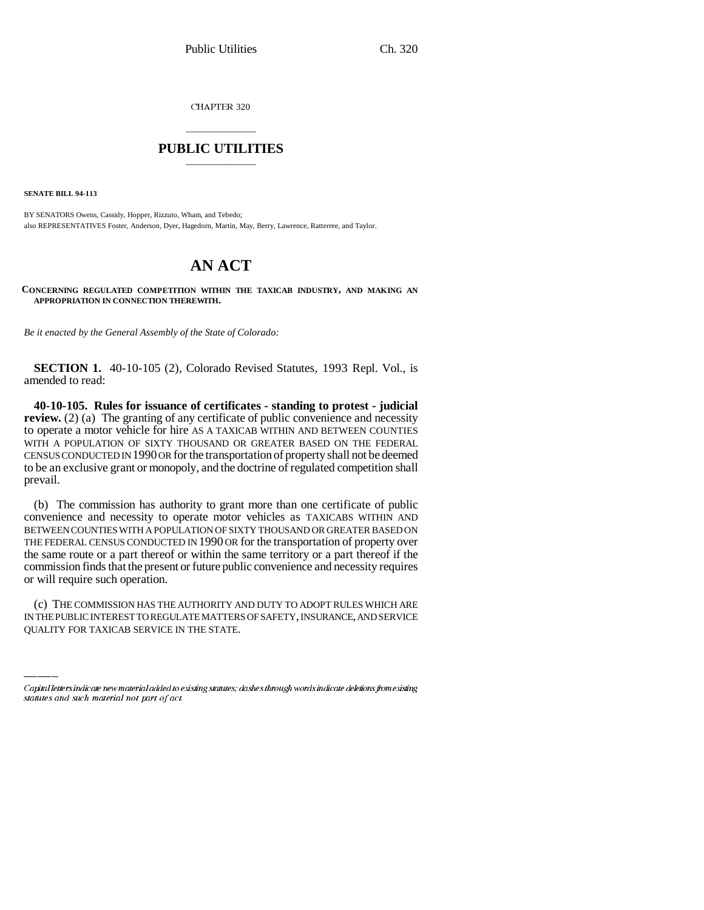CHAPTER 320

## \_\_\_\_\_\_\_\_\_\_\_\_\_\_\_ **PUBLIC UTILITIES** \_\_\_\_\_\_\_\_\_\_\_\_\_\_\_

**SENATE BILL 94-113**

BY SENATORS Owens, Cassidy, Hopper, Rizzuto, Wham, and Tebedo; also REPRESENTATIVES Foster, Anderson, Dyer, Hagedorn, Martin, May, Berry, Lawrence, Ratterree, and Taylor.

## **AN ACT**

**CONCERNING REGULATED COMPETITION WITHIN THE TAXICAB INDUSTRY, AND MAKING AN APPROPRIATION IN CONNECTION THEREWITH.**

*Be it enacted by the General Assembly of the State of Colorado:*

**SECTION 1.** 40-10-105 (2), Colorado Revised Statutes, 1993 Repl. Vol., is amended to read:

**40-10-105. Rules for issuance of certificates - standing to protest - judicial review.** (2) (a) The granting of any certificate of public convenience and necessity to operate a motor vehicle for hire AS A TAXICAB WITHIN AND BETWEEN COUNTIES WITH A POPULATION OF SIXTY THOUSAND OR GREATER BASED ON THE FEDERAL CENSUS CONDUCTED IN 1990 OR for the transportation of property shall not be deemed to be an exclusive grant or monopoly, and the doctrine of regulated competition shall prevail.

(b) The commission has authority to grant more than one certificate of public convenience and necessity to operate motor vehicles as TAXICABS WITHIN AND BETWEEN COUNTIES WITH A POPULATION OF SIXTY THOUSAND OR GREATER BASED ON THE FEDERAL CENSUS CONDUCTED IN 1990 OR for the transportation of property over the same route or a part thereof or within the same territory or a part thereof if the commission finds that the present or future public convenience and necessity requires or will require such operation.

(c) THE COMMISSION HAS THE AUTHORITY AND DUTY TO ADOPT RULES WHICH ARE IN THE PUBLIC INTEREST TO REGULATE MATTERS OF SAFETY, INSURANCE, AND SERVICE QUALITY FOR TAXICAB SERVICE IN THE STATE.

Capital letters indicate new material added to existing statutes; dashes through words indicate deletions from existing statutes and such material not part of act.